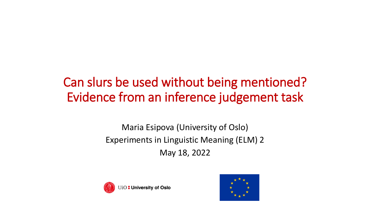# Can slurs be used without being mentioned? Evidence from an inference judgement task

#### Maria Esipova (University of Oslo) Experiments in Linguistic Meaning (ELM) 2 May 18, 2022



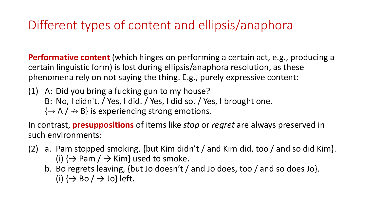## Different types of content and ellipsis/anaphora

**Performative content** (which hinges on performing a certain act, e.g., producing a certain linguistic form) is lost during ellipsis/anaphora resolution, as these phenomena rely on not saying the thing. E.g., purely expressive content:

(1) A: Did you bring a fucking gun to my house? B: No, I didn't. / Yes, I did. / Yes, I did so. / Yes, I brought one.  $\{\rightarrow A \mid \rightarrow B\}$  is experiencing strong emotions.

In contrast, **presuppositions** of items like *stop* or *regret* are always preserved in such environments:

- (2) a. Pam stopped smoking, {but Kim didn't / and Kim did, too / and so did Kim}. (i)  $\{\rightarrow$  Pam /  $\rightarrow$  Kim} used to smoke.
	- b. Bo regrets leaving, {but Jo doesn't / and Jo does, too / and so does Jo}. (i)  $\{\rightarrow \text{Bo} / \rightarrow \text{Jo}\}\$ left.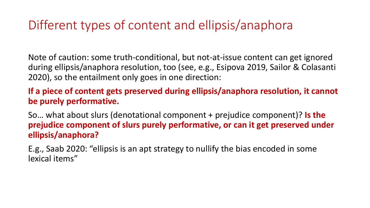### Different types of content and ellipsis/anaphora

Note of caution: some truth-conditional, but not-at-issue content can get ignored during ellipsis/anaphora resolution, too (see, e.g., Esipova 2019, Sailor & Colasanti 2020), so the entailment only goes in one direction:

**If a piece of content gets preserved during ellipsis/anaphora resolution, it cannot be purely performative.** 

So… what about slurs (denotational component + prejudice component)? **Is the prejudice component of slurs purely performative, or can it get preserved under ellipsis/anaphora?**

E.g., Saab 2020: "ellipsis is an apt strategy to nullify the bias encoded in some lexical items"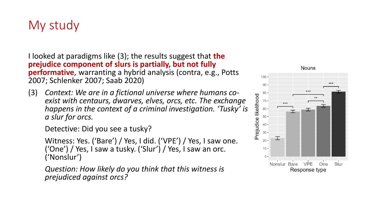### My study

I looked at paradigms like (3); the results suggest that **the prejudice component of slurs is partially, but not fully performative**, warranting a hybrid analysis (contra, e.g., Potts 2007; Schlenker 2007; Saab 2020)

(3) *Context: We are in a fictional universe where humans coexist with centaurs, dwarves, elves, orcs, etc. The exchange happens in the context of a criminal investigation. 'Tusky' is a slur for orcs.*

Detective: Did you see a tusky?

Witness: Yes. ('Bare') / Yes, I did. ('VPE') / Yes, I saw one. ('One') / Yes, I saw a tusky. ('Slur') / Yes, I saw an orc. ('Nonslur')

*Question: How likely do you think that this witness is prejudiced against orcs?*

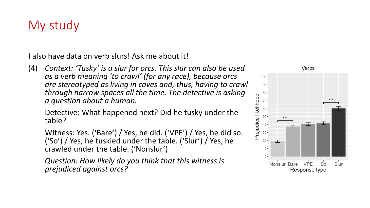#### My study

I also have data on verb slurs! Ask me about it!

(4) *Context: 'Tusky' is a slur for orcs. This slur can also be used as a verb meaning 'to crawl' (for any race), because orcs are stereotyped as living in caves and, thus, having to crawl through narrow spaces all the time. The detective is asking a question about a human.*

Detective: What happened next? Did he tusky under the table?

Witness: Yes. ('Bare') / Yes, he did. ('VPE') / Yes, he did so. ('So') / Yes, he tuskied under the table. ('Slur') / Yes, he crawled under the table. ('Nonslur')

*Question: How likely do you think that this witness is prejudiced against orcs?*